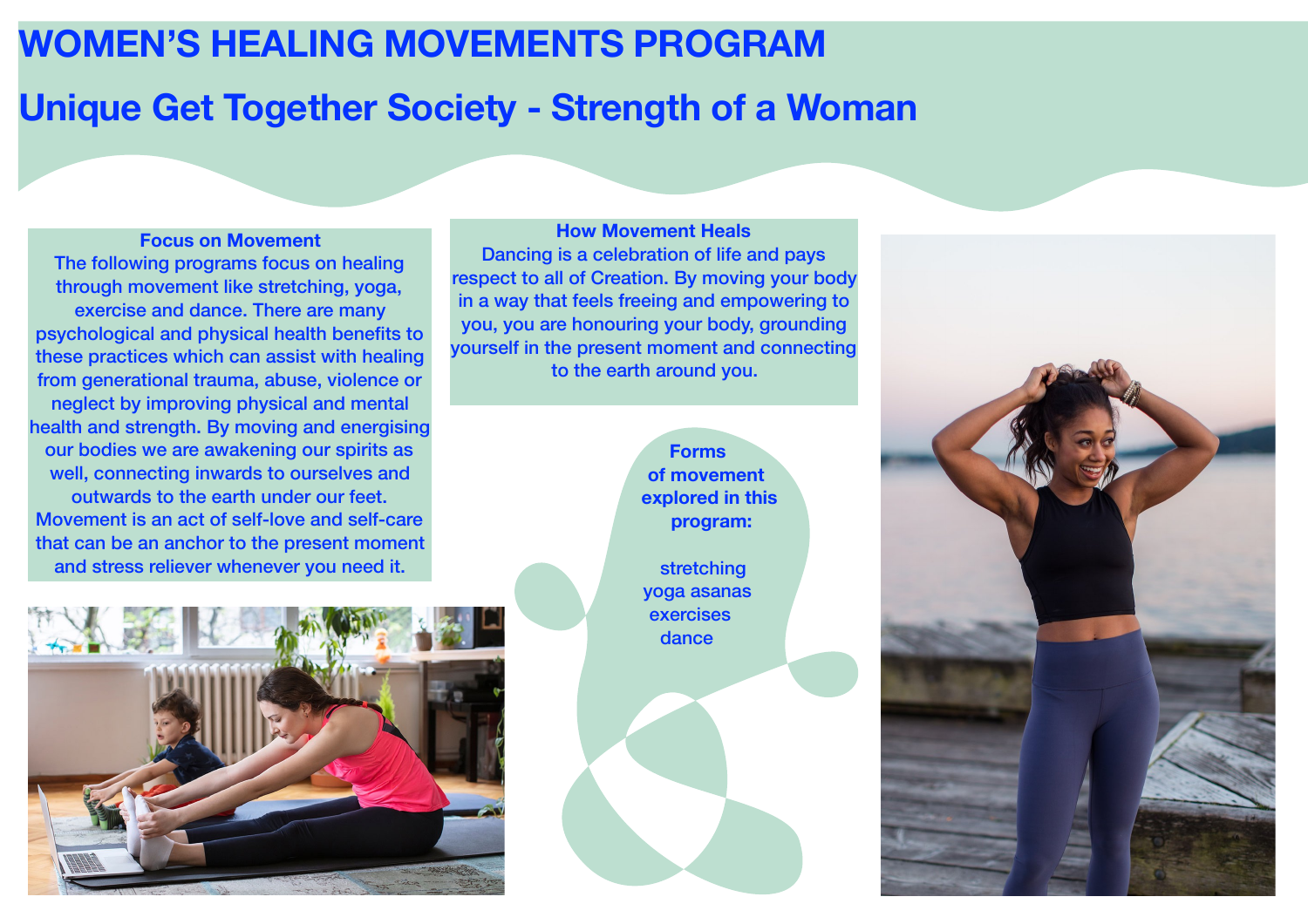## **WOMEN'S HEALING MOVEMENTS PROGRAM**

# **Unique Get Together Society - Strength of a Woman**

**Focus on Movement** The following programs focus on healing through movement like stretching, yoga, exercise and dance. There are many psychological and physical health benefits to these practices which can assist with healing from generational trauma, abuse, violence or neglect by improving physical and mental health and strength. By moving and energising our bodies we are awakening our spirits as well, connecting inwards to ourselves and outwards to the earth under our feet. Movement is an act of self-love and self-care that can be an anchor to the present moment and stress reliever whenever you need it.



**How Movement Heals**  Dancing is a celebration of life and pays respect to all of Creation. By moving your body in a way that feels freeing and empowering to you, you are honouring your body, grounding yourself in the present moment and connecting to the earth around you.



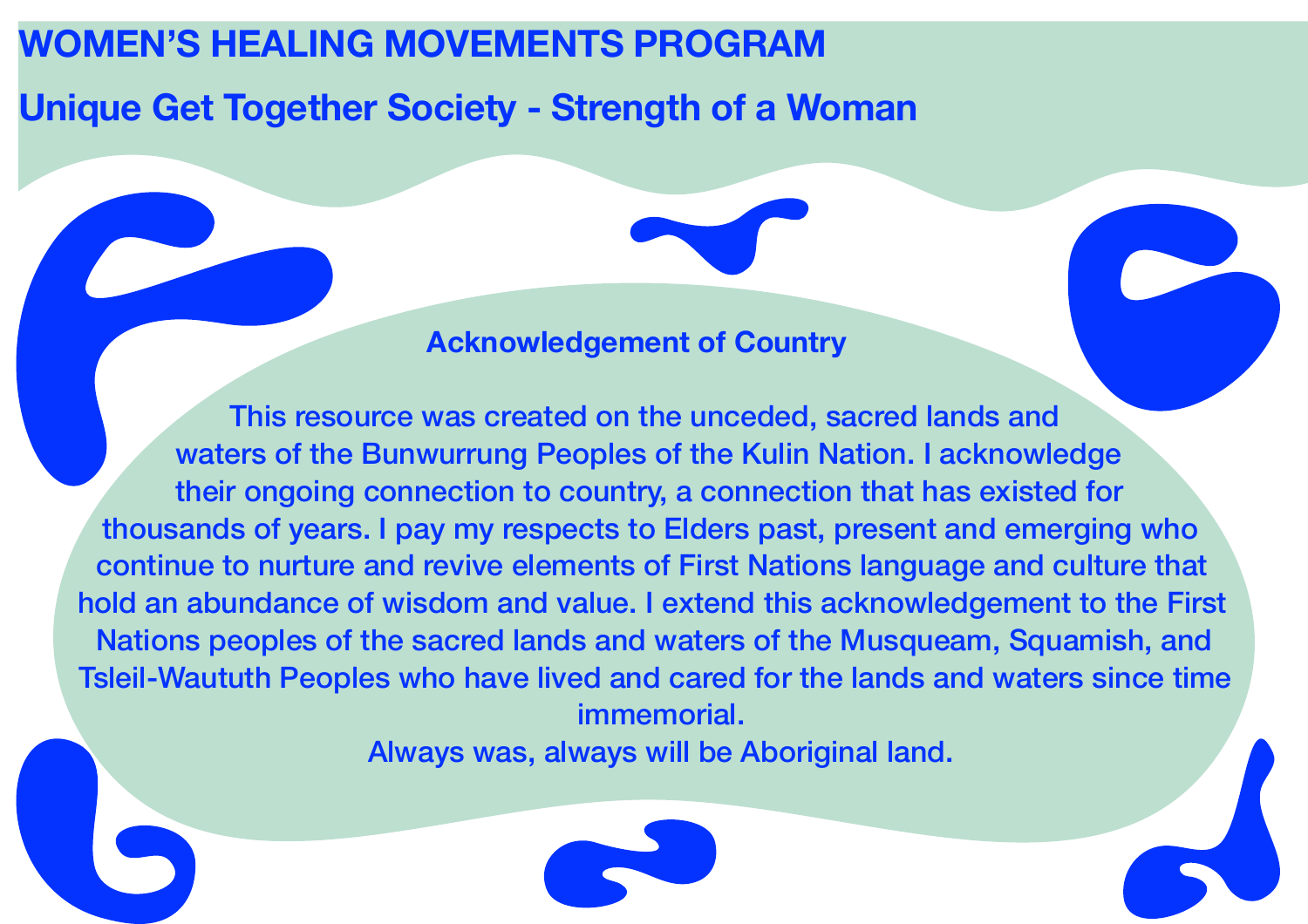## **WOMEN'S HEALING MOVEMENTS PROGRAM**

**Unique Get Together Society - Strength of a Woman**

### **Acknowledgement of Country**

This resource was created on the unceded, sacred lands and waters of the Bunwurrung Peoples of the Kulin Nation. I acknowledge their ongoing connection to country, a connection that has existed for thousands of years. I pay my respects to Elders past, present and emerging who continue to nurture and revive elements of First Nations language and culture that hold an abundance of wisdom and value. I extend this acknowledgement to the First Nations peoples of the sacred lands and waters of the Musqueam, Squamish, and Tsleil-Waututh Peoples who have lived and cared for the lands and waters since time immemorial.

Always was, always will be Aboriginal land.